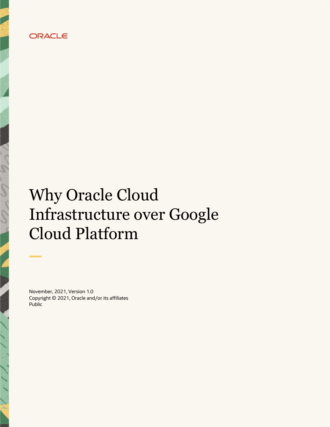

# Why Oracle Cloud Infrastructure over Google Cloud Platform

November, 2021, Version 1.0 Copyright © 2021, Oracle and/or its affiliates Public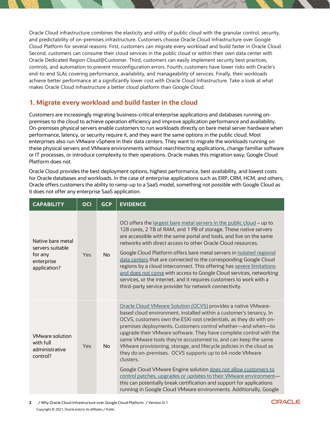Oracle Cloud infrastructure combines the elasticity and utility of public cloud with the granular control, security, and predictability of on-premises infrastructure. Customers choose Oracle Cloud Infrastructure over Google Cloud Platform for several reasons: First, customers can migrate every workload and build faster in Oracle Cloud. Second, customers can consume their cloud services in the public cloud or within their own data center with Oracle Dedicated Region Cloud@Customer. Third, customers can easily implement security best practices, controls, and automation to prevent misconfiguration errors. Fourth, customers have lower risks with Oracle's end-to-end SLAs covering performance, availability, and manageability of services. Finally, their workloads achieve better performance at a significantly lower cost with Oracle Cloud Infrastructure. Take a look at what makes Oracle Cloud Infrastructure a better cloud platform than Google Cloud.

#### **1. Migrate every workload and build faster in the cloud**

Customers are increasingly migrating business-critical enterprise applications and databases running onpremises to the cloud to achieve operation efficiency and improve application performance and availability. On-premises physical servers enable customers to run workloads directly on bare metal server hardware when performance, latency, or security require it, and they want the same options in the public cloud. Most enterprises also run VMware vSphere in their data centers. They want to migrate the workloads running on these physical servers and VMware environments without rearchitecting applications, change familiar software or IT processes, or introduce complexity to their operations. Oracle makes this migration easy; Google Cloud Platform does not.

Oracle Cloud provides the best deployment options, highest performance, best availability, and lowest costs for Oracle databases and workloads. In the case of enterprise applications such as ERP, CRM, HCM, and others, Oracle offers customers the ability to ramp-up to a SaaS model, something not possible with Google Cloud as it does not offer any enterprise SaaS application.

| <b>CAPABILITY</b>                                                              | <b>OCI</b> | <b>GCP</b> | <b>EVIDENCE</b>                                                                                                                                                                                                                                                                                                                                                                                                                                                                                                                                                                                                                                                                                                                                                                                                                                        |
|--------------------------------------------------------------------------------|------------|------------|--------------------------------------------------------------------------------------------------------------------------------------------------------------------------------------------------------------------------------------------------------------------------------------------------------------------------------------------------------------------------------------------------------------------------------------------------------------------------------------------------------------------------------------------------------------------------------------------------------------------------------------------------------------------------------------------------------------------------------------------------------------------------------------------------------------------------------------------------------|
| Native bare metal<br>servers suitable<br>for any<br>enterprise<br>application? | Yes        | <b>No</b>  | OCI offers the largest bare metal servers in the public cloud - up to<br>128 cores, 2 TB of RAM, and 1 PB of storage. These native servers<br>are accessible with the same portal and tools, and live on the same<br>networks with direct access to other Oracle Cloud resources.<br>Google Cloud Platform offers bare metal servers in isolated regional<br>data centers that are connected to the corresponding Google Cloud<br>regions by a cloud interconnect. This offering has severe limitations<br>and does not come with access to Google Cloud services, networking<br>services, or the internet, and it requires customers to work with a<br>third-party service provider for network connectivity.                                                                                                                                         |
| <b>VMware solution</b><br>with full<br>administrative<br>control?              | Yes        | <b>No</b>  | Oracle Cloud VMware Solution (OCVS) provides a native VMware-<br>based cloud environment, installed within a customer's tenancy. In<br>OCVS, customers own the ESXi root credentials, as they do with on-<br>premises deployments. Customers control whether-and when-to<br>upgrade their VMware software. They have complete control with the<br>same VMware tools they're accustomed to, and can keep the same<br>VMware provisioning, storage, and lifecycle policies in the cloud as<br>they do on-premises. OCVS supports up to 64-node VMware<br>clusters.<br>Google Cloud VMware Engine solution does not allow customers to<br>control patches, upgrades or updates to their VMware environment-<br>this can potentially break certification and support for applications<br>running in Google Cloud VMware environments. Additionally, Google |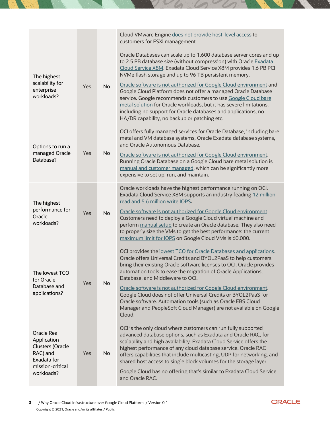|                                                                                  |     |           | Cloud VMware Engine does not provide host-level access to<br>customers for ESXi management.                                                                                                                                                                                                                                                                                                                            |
|----------------------------------------------------------------------------------|-----|-----------|------------------------------------------------------------------------------------------------------------------------------------------------------------------------------------------------------------------------------------------------------------------------------------------------------------------------------------------------------------------------------------------------------------------------|
| The highest<br>scalability for                                                   | Yes | <b>No</b> | Oracle Databases can scale up to 1,600 database server cores and up<br>to 2.5 PB database size (without compression) with Oracle Exadata<br>Cloud Service X8M. Exadata Cloud Service X8M provides 1.6 PB PCI<br>NVMe flash storage and up to 96 TB persistent memory.<br>Oracle software is not authorized for Google Cloud environment and                                                                            |
| enterprise<br>workloads?                                                         |     |           | Google Cloud Platform does not offer a managed Oracle Database<br>service. Google recommends customers to use Google Cloud bare<br>metal solution for Oracle workloads, but it has severe limitations,<br>including no support for Oracle databases and applications, no<br>HA/DR capability, no backup or patching etc.                                                                                               |
| Options to run a                                                                 |     |           | OCI offers fully managed services for Oracle Database, including bare<br>metal and VM database systems, Oracle Exadata database systems,<br>and Oracle Autonomous Database.                                                                                                                                                                                                                                            |
| managed Oracle<br>Database?                                                      | Yes | <b>No</b> | Oracle software is not authorized for Google Cloud environment.<br>Running Oracle Database on a Google Cloud bare metal solution is<br>manual and customer managed, which can be significantly more<br>expensive to set up, run, and maintain.                                                                                                                                                                         |
| The highest<br>performance for<br>Oracle<br>workloads?                           | Yes | <b>No</b> | Oracle workloads have the highest performance running on OCI.<br>Exadata Cloud Service X8M supports an industry-leading 12 million<br>read and 5.6 million write IOPS.                                                                                                                                                                                                                                                 |
|                                                                                  |     |           | Oracle software is not authorized for Google Cloud environment.<br>Customers need to deploy a Google Cloud virtual machine and<br>perform manual setup to create an Oracle database. They also need<br>to properly size the VMs to get the best performance: the current<br>maximum limit for IOPS on Google Cloud VMs is 60,000.                                                                                      |
| The lowest TCO<br>for Oracle                                                     | Yes | No        | OCI provides the lowest TCO for Oracle Databases and applications.<br>Oracle offers Universal Credits and BYOL2PaaS to help customers<br>bring their existing Oracle software licenses to OCI. Oracle provides<br>automation tools to ease the migration of Oracle Applications,<br>Database, and Middleware to OCI.                                                                                                   |
| Database and<br>applications?                                                    |     |           | Oracle software is not authorized for Google Cloud environment.<br>Google Cloud does not offer Universal Credits or BYOL2PaaS for<br>Oracle software. Automation tools (such as Oracle EBS Cloud<br>Manager and PeopleSoft Cloud Manager) are not available on Google<br>Cloud.                                                                                                                                        |
| <b>Oracle Real</b><br>Application<br>Clusters (Oracle<br>RAC) and<br>Exadata for | Yes | <b>No</b> | OCI is the only cloud where customers can run fully supported<br>advanced database options, such as Exadata and Oracle RAC, for<br>scalability and high availability. Exadata Cloud Service offers the<br>highest performance of any cloud database service. Oracle RAC<br>offers capabilities that include multicasting, UDP for networking, and<br>shared host access to single block volumes for the storage layer. |
| mission-critical<br>workloads?                                                   |     |           | Google Cloud has no offering that's similar to Exadata Cloud Service<br>and Oracle RAC.                                                                                                                                                                                                                                                                                                                                |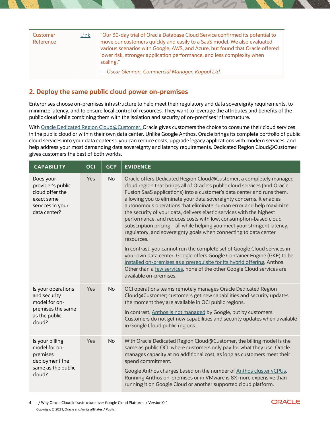| Customer<br>Reference | Link                                             | "Our 30-day trial of Oracle Database Cloud Service confirmed its potential to<br>move our customers quickly and easily to a SaaS model. We also evaluated<br>various scenarios with Google, AWS, and Azure, but found that Oracle offered<br>lower risk, stronger application performance, and less complexity when<br>scaling." |
|-----------------------|--------------------------------------------------|----------------------------------------------------------------------------------------------------------------------------------------------------------------------------------------------------------------------------------------------------------------------------------------------------------------------------------|
|                       | — Oscar Glennon, Commercial Manager, Kagool Ltd. |                                                                                                                                                                                                                                                                                                                                  |

### **2. Deploy the same public cloud power on-premises**

Enterprises choose on-premises infrastructure to help meet their regulatory and data sovereignty requirements, to minimize latency, and to ensure local control of resources. They want to leverage the attributes and benefits of the public cloud while combining them with the isolation and security of on-premises infrastructure.

With Oracle Dedicated Region Cloud@Customer. Oracle gives customers the choice to consume their cloud services in the public cloud or within their own data center. Unlike Google Anthos, Oracle brings its complete portfolio of public cloud services into your data center so you can reduce costs, upgrade legacy applications with modern services, and help address your most demanding data sovereignty and latency requirements. Dedicated Region Cloud@Customer gives customers the best of both worlds.

| <b>CAPABILITY</b>                                                                                   | <b>OCI</b> | <b>GCP</b> | <b>EVIDENCE</b>                                                                                                                                                                                                                                                                                                                                                                                                                                                                                                                                                                                                                                                                                                                                                                                                                                                                                                                                                                                                            |
|-----------------------------------------------------------------------------------------------------|------------|------------|----------------------------------------------------------------------------------------------------------------------------------------------------------------------------------------------------------------------------------------------------------------------------------------------------------------------------------------------------------------------------------------------------------------------------------------------------------------------------------------------------------------------------------------------------------------------------------------------------------------------------------------------------------------------------------------------------------------------------------------------------------------------------------------------------------------------------------------------------------------------------------------------------------------------------------------------------------------------------------------------------------------------------|
| Does your<br>provider's public<br>cloud offer the<br>exact same<br>services in your<br>data center? | Yes        | No         | Oracle offers Dedicated Region Cloud@Customer, a completely managed<br>cloud region that brings all of Oracle's public cloud services (and Oracle<br>Fusion SaaS applications) into a customer's data center and runs them,<br>allowing you to eliminate your data sovereignty concerns. It enables<br>autonomous operations that eliminate human error and help maximize<br>the security of your data, delivers elastic services with the highest<br>performance, and reduces costs with low, consumption-based cloud<br>subscription pricing-all while helping you meet your stringent latency,<br>regulatory, and sovereignty goals when connecting to data center<br>resources.<br>In contrast, you cannot run the complete set of Google Cloud services in<br>your own data center. Google offers Google Container Engine (GKE) to be<br>installed on-premises as a prerequisite for its hybrid offering, Anthos.<br>Other than a few services, none of the other Google Cloud services are<br>available on-premises. |
| Is your operations<br>and security<br>model for on-<br>premises the same<br>as the public<br>cloud? | Yes        | No         | OCI operations teams remotely manages Oracle Dedicated Region<br>Cloud@Customer; customers get new capabilities and security updates<br>the moment they are available in OCI public regions.<br>In contrast, Anthos is not managed by Google, but by customers.<br>Customers do not get new capabilities and security updates when available<br>in Google Cloud public regions.                                                                                                                                                                                                                                                                                                                                                                                                                                                                                                                                                                                                                                            |
| Is your billing<br>model for on-<br>premises<br>deployment the<br>same as the public<br>cloud?      | Yes        | <b>No</b>  | With Oracle Dedicated Region Cloud@Customer, the billing model is the<br>same as public OCI, where customers only pay for what they use. Oracle<br>manages capacity at no additional cost, as long as customers meet their<br>spend commitment.<br>Google Anthos charges based on the number of Anthos cluster vCPUs.<br>Running Anthos on-premises or in VMware is 8X more expensive than<br>running it on Google Cloud or another supported cloud platform.                                                                                                                                                                                                                                                                                                                                                                                                                                                                                                                                                              |

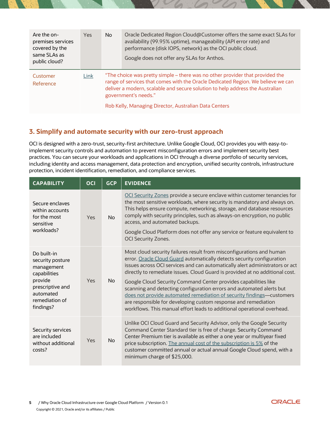| Are the on-<br>premises services<br>covered by the<br>same SLAs as<br>public cloud? | Yes  | No. | Oracle Dedicated Region Cloud@Customer offers the same exact SLAs for<br>availability (99.95% uptime), manageability (API error rate) and<br>performance (disk IOPS, network) as the OCI public cloud.<br>Google does not offer any SLAs for Anthos.                                                                                |
|-------------------------------------------------------------------------------------|------|-----|-------------------------------------------------------------------------------------------------------------------------------------------------------------------------------------------------------------------------------------------------------------------------------------------------------------------------------------|
| Customer<br>Reference                                                               | Link |     | "The choice was pretty simple – there was no other provider that provided the<br>range of services that comes with the Oracle Dedicated Region. We believe we can<br>deliver a modern, scalable and secure solution to help address the Australian<br>government's needs."<br>Rob Kelly, Managing Director, Australian Data Centers |

#### **3. Simplify and automate security with our zero-trust approach**

OCI is designed with a zero-trust, security-first architecture. Unlike Google Cloud, OCI provides you with easy-toimplement security controls and automation to prevent misconfiguration errors and implement security best practices. You can secure your workloads and applications in OCI through a diverse portfolio of security services, including identity and access management, data protection and encryption, unified security controls, infrastructure protection, incident identification, remediation, and compliance services.

| <b>CAPABILITY</b>                                                                                                                        | <b>OCI</b> | <b>GCP</b> | <b>EVIDENCE</b>                                                                                                                                                                                                                                                                                                                                                                                                                                                                                                                                                                                                                                                                 |
|------------------------------------------------------------------------------------------------------------------------------------------|------------|------------|---------------------------------------------------------------------------------------------------------------------------------------------------------------------------------------------------------------------------------------------------------------------------------------------------------------------------------------------------------------------------------------------------------------------------------------------------------------------------------------------------------------------------------------------------------------------------------------------------------------------------------------------------------------------------------|
| Secure enclaves<br>within accounts<br>for the most<br>sensitive<br>workloads?                                                            | Yes        | No         | OCI Security Zones provide a secure enclave within customer tenancies for<br>the most sensitive workloads, where security is mandatory and always on.<br>This helps ensure compute, networking, storage, and database resources<br>comply with security principles, such as always-on encryption, no public<br>access, and automated backups.<br>Google Cloud Platform does not offer any service or feature equivalent to<br><b>OCI Security Zones.</b>                                                                                                                                                                                                                        |
| Do built-in<br>security posture<br>management<br>capabilities<br>provide<br>prescriptive and<br>automated<br>remediation of<br>findings? | Yes        | No.        | Most cloud security failures result from misconfigurations and human<br>error. Oracle Cloud Guard automatically detects security configuration<br>issues across OCI services and can automatically alert administrators or act<br>directly to remediate issues. Cloud Guard is provided at no additional cost.<br>Google Cloud Security Command Center provides capabilities like<br>scanning and detecting configuration errors and automated alerts but<br>does not provide automated remediation of security findings-customers<br>are responsible for developing custom response and remediation<br>workflows. This manual effort leads to additional operational overhead. |
| Security services<br>are included<br>without additional<br>costs?                                                                        | Yes        | <b>No</b>  | Unlike OCI Cloud Guard and Security Advisor, only the Google Security<br>Command Center Standard tier is free of charge. Security Command<br>Center Premium tier is available as either a one year or multiyear fixed<br>price subscription. The annual cost of the subscription is 5% of the<br>customer committed annual or actual annual Google Cloud spend, with a<br>minimum charge of \$25,000.                                                                                                                                                                                                                                                                           |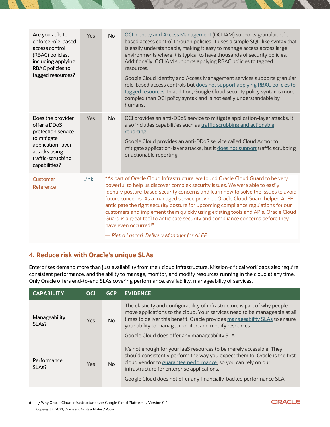| Are you able to<br>enforce role-based<br>access control<br>(RBAC) policies,<br>including applying<br>RBAC policies to<br>tagged resources?         | <b>Yes</b> | <b>No</b>      | OCI Identity and Access Management (OCI IAM) supports granular, role-<br>based access control through policies. It uses a simple SQL-like syntax that<br>is easily understandable, making it easy to manage access across large<br>environments where it is typical to have thousands of security policies.<br>Additionally, OCI IAM supports applying RBAC policies to tagged<br>resources.<br>Google Cloud Identity and Access Management services supports granular<br>role-based access controls but does not support applying RBAC policies to<br>tagged resources. In addition, Google Cloud security policy syntax is more<br>complex than OCI policy syntax and is not easily understandable by<br>humans. |
|----------------------------------------------------------------------------------------------------------------------------------------------------|------------|----------------|--------------------------------------------------------------------------------------------------------------------------------------------------------------------------------------------------------------------------------------------------------------------------------------------------------------------------------------------------------------------------------------------------------------------------------------------------------------------------------------------------------------------------------------------------------------------------------------------------------------------------------------------------------------------------------------------------------------------|
| Does the provider<br>offer a DDoS<br>protection service<br>to mitigate<br>application-layer<br>attacks using<br>traffic-scrubbing<br>capabilities? | <b>Yes</b> | N <sub>o</sub> | OCI provides an anti-DDoS service to mitigate application-layer attacks. It<br>also includes capabilities such as traffic scrubbing and actionable<br>reporting.<br>Google Cloud provides an anti-DDoS service called Cloud Armor to<br>mitigate application-layer attacks, but it does not support traffic scrubbing<br>or actionable reporting.                                                                                                                                                                                                                                                                                                                                                                  |
| Customer<br>Reference                                                                                                                              | Link       |                | "As part of Oracle Cloud Infrastructure, we found Oracle Cloud Guard to be very<br>powerful to help us discover complex security issues. We were able to easily<br>identify posture-based security concerns and learn how to solve the issues to avoid<br>future concerns. As a managed service provider, Oracle Cloud Guard helped ALEF<br>anticipate the right security posture for upcoming compliance regulations for our<br>customers and implement them quickly using existing tools and APIs. Oracle Cloud<br>Guard is a great tool to anticipate security and compliance concerns before they<br>have even occurred!"<br>- Pietro Lascari, Delivery Manager for ALEF                                       |

#### **4. Reduce risk with Oracle's unique SLAs**

Enterprises demand more than just availability from their cloud infrastructure. Mission-critical workloads also require consistent performance, and the ability to manage, monitor, and modify resources running in the cloud at any time. Only Oracle offers end-to-end SLAs covering performance, availability, manageability of services.

| <b>CAPABILITY</b>                   | <b>OCI</b> | <b>GCP</b> | <b>EVIDENCE</b>                                                                                                                                                                                                                                                                                                                                     |
|-------------------------------------|------------|------------|-----------------------------------------------------------------------------------------------------------------------------------------------------------------------------------------------------------------------------------------------------------------------------------------------------------------------------------------------------|
| Manageability<br>SLA <sub>s</sub> ? | <b>Yes</b> | No.        | The elasticity and configurability of infrastructure is part of why people<br>move applications to the cloud. Your services need to be manageable at all<br>times to deliver this benefit. Oracle provides manageability SLAs to ensure<br>your ability to manage, monitor, and modify resources.<br>Google Cloud does offer any manageability SLA. |
| Performance<br>SI As?               | Yes        | No         | It's not enough for your laaS resources to be merely accessible. They<br>should consistently perform the way you expect them to. Oracle is the first<br>cloud vendor to guarantee performance, so you can rely on our<br>infrastructure for enterprise applications.<br>Google Cloud does not offer any financially-backed performance SLA.         |

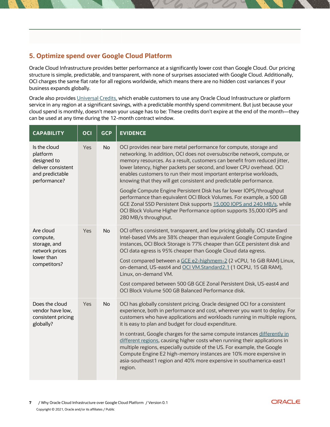## **5. Optimize spend over Google Cloud Platform**

Oracle Cloud Infrastructure provides better performance at a significantly lower cost than Google Cloud. Our pricing structure is simple, predictable, and transparent, with none of surprises associated with Google Cloud. Additionally, OCI charges the same flat rate for all regions worldwide, which means there are no hidden cost variances if your business expands globally.

Oracle also provides [Universal Credits,](https://www.oracle.com/cloud/bring-your-own-license/faq/universal-credit-pricing.html) which enable customers to use any Oracle Cloud Infrastructure or platform service in any region at a significant savings, with a predictable monthly spend commitment. But just because your cloud spend is monthly, doesn't mean your usage has to be: These credits don't expire at the end of the month—they can be used at any time during the 12-month contract window.

| <b>CAPABILITY</b>                                                                                | <b>OCI</b> | <b>GCP</b> | <b>EVIDENCE</b>                                                                                                                                                                                                                                                                                                                                                                                                                                  |
|--------------------------------------------------------------------------------------------------|------------|------------|--------------------------------------------------------------------------------------------------------------------------------------------------------------------------------------------------------------------------------------------------------------------------------------------------------------------------------------------------------------------------------------------------------------------------------------------------|
| Is the cloud<br>platform<br>designed to<br>deliver consistent<br>and predictable<br>performance? | Yes        | <b>No</b>  | OCI provides near bare metal performance for compute, storage and<br>networking. In addition, OCI does not oversubscribe network, compute, or<br>memory resources. As a result, customers can benefit from reduced jitter,<br>lower latency, higher packets per second, and lower CPU overhead. OCI<br>enables customers to run their most important enterprise workloads,<br>knowing that they will get consistent and predictable performance. |
|                                                                                                  |            |            | Google Compute Engine Persistent Disk has far lower IOPS/throughput<br>performance than equivalent OCI Block Volumes. For example, a 500 GB<br>GCE Zonal SSD Persistent Disk supports 15,000 IOPS and 240 MB/s, while<br>OCI Block Volume Higher Performance option supports 35,000 IOPS and<br>280 MB/s throughput.                                                                                                                             |
| Are cloud<br>compute,<br>storage, and<br>network prices<br>lower than<br>competitors?            | Yes        | <b>No</b>  | OCI offers consistent, transparent, and low pricing globally. OCI standard<br>Intel-based VMs are 38% cheaper than equivalent Google Compute Engine<br>instances, OCI Block Storage is 77% cheaper than GCE persistent disk and<br>OCI data egress is 95% cheaper than Google Cloud data egress.                                                                                                                                                 |
|                                                                                                  |            |            | Cost compared between a GCE e2-highmem-2 (2 vCPU, 16 GiB RAM) Linux,<br>on-demand, US-east4 and OCI VM.Standard2.1 (1 OCPU, 15 GB RAM),<br>Linux, on-demand VM.                                                                                                                                                                                                                                                                                  |
|                                                                                                  |            |            | Cost compared between 500 GB GCE Zonal Persistent Disk, US-east4 and<br>OCI Block Volume 500 GB Balanced Performance disk.                                                                                                                                                                                                                                                                                                                       |
| Does the cloud<br>vendor have low,<br>consistent pricing<br>globally?                            | Yes        | <b>No</b>  | OCI has globally consistent pricing. Oracle designed OCI for a consistent<br>experience, both in performance and cost, wherever you want to deploy. For<br>customers who have applications and workloads running in multiple regions,<br>it is easy to plan and budget for cloud expenditure.                                                                                                                                                    |
|                                                                                                  |            |            | In contrast, Google charges for the same compute instances differently in<br>different regions, causing higher costs when running their applications in<br>multiple regions, especially outside of the US. For example, the Google<br>Compute Engine E2 high-memory instances are 10% more expensive in<br>asia-southeast1 region and 40% more expensive in southamerica-east1<br>region.                                                        |